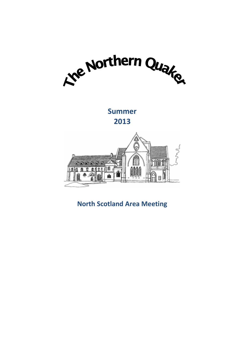

**Summer 2013**



**North Scotland Area Meeting**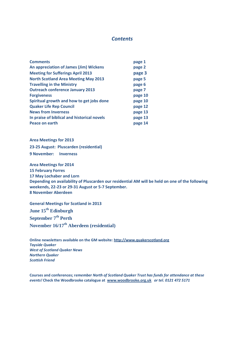# *Contents*

| <b>Comments</b>                             | page 1  |
|---------------------------------------------|---------|
| An appreciation of James (Jim) Wickens      | page 2  |
| <b>Meeting for Sufferings April 2013</b>    | page 3  |
| <b>North Scotland Area Meeting May 2013</b> | page 5  |
| <b>Travelling in the Ministry</b>           | page 6  |
| <b>Outreach conference January 2013</b>     | page 7  |
| <b>Forgiveness</b>                          | page 10 |
| Spiritual growth and how to get jobs done   | page 10 |
| <b>Quaker Life Rep Council</b>              | page 12 |
| <b>News from Inverness</b>                  | page 13 |
| In praise of biblical and historical novels | page 13 |
| Peace on earth                              | page 14 |

**Area Meetings for 2013 23-25 August: Pluscarden (residential) 9 November: Inverness**

**Area Meetings for 2014 15 February Forres 17 May Lochaber and Lorn Depending on availability of Pluscarden our residential AM will be held on one of the following weekends, 22-23 or 29-31 August or 5-7 September. 8 November Aberdeen**

**General Meetings for Scotland in 2013 June 15th Edinburgh September 7th Perth November 16/17th Aberdeen (residential)**

**Online newsletters available on the GM website: [http://www.quakerscotland.org](http://www.quakerscotland.org/)** *Tayside Quaker West of Scotland Quaker News Northern Quaker Scottish Friend*

**Courses and conferences; r***emember North of Scotland Quaker Trust has funds for attendance at these events!* **Check the Woodbrooke catalogue at [www.woodbrooke.org.uk](http://www.woodbrooke.org.uk/)** *or tel. 0121 472 5171*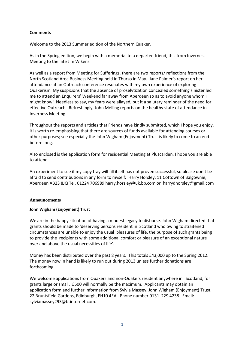# **Comments**

Welcome to the 2013 Summer edition of the Northern Quaker.

As in the Spring edition, we begin with a memorial to a departed friend, this from Inverness Meeting to the late Jim Wikens.

As well as a report from Meeting for Sufferings, there are two reports/ reflections from the North Scotland Area Business Meeting held in Thurso in May. Jane Palmer's report on her attendance at an Outreach conference resonates with my own experience of exploring Quakerism. My suspicions that the absence of proselytization concealed something sinister led me to attend an Enquirers' Weekend far away from Aberdeen so as to avoid anyone whom I might know! Needless to say, my fears were allayed, but it a salutary reminder of the need for effective Outreach. Refreshingly, John Melling reports on the healthy state of attendance in Inverness Meeting.

Throughout the reports and articles that Friends have kindly submitted, which I hope you enjoy, it is worth re-emphasising that there are sources of funds available for attending courses or other purposes; see especially the John Wigham (Enjoyment) Trust is likely to come to an end before long.

Also enclosed is the application form for residential Meeting at Pluscarden. I hope you are able to attend.

An experiment to see if my copy tray will fill itself has not proven successful, so please don't be afraid to send contributions in any form to myself: Harry Horsley, 11 Cottown of Balgownie, Aberdeen AB23 8JQ Tel. 01224 706989 harry.horsley@uk.bp.com or harrydhorsley@gmail.com

#### **Announcements**

# **John Wigham (Enjoyment) Trust**

We are in the happy situation of having a modest legacy to disburse. John Wigham directed that grants should be made to 'deserving persons resident in Scotland who owing to straitened circumstances are unable to enjoy the usual pleasures of life, the purpose of such grants being to provide the recipients with some additional comfort or pleasure of an exceptional nature over and above the usual necessities of life'.

Money has been distributed over the past 8 years. This totals £43,000 up to the Spring 2012. The money now in hand is likely to run out during 2013 unless further donations are forthcoming.

We welcome applications from Quakers and non-Quakers resident anywhere in Scotland, for grants large or small. £500 will normally be the maximum. Applicants may obtain an application form and further information from Sylvia Massey, John Wigham (Enjoyment) Trust, 22 Bruntsfield Gardens, Edinburgh, EH10 4EA . Phone number 0131 229 4238 Email: sylviamassey293@btinternet.com.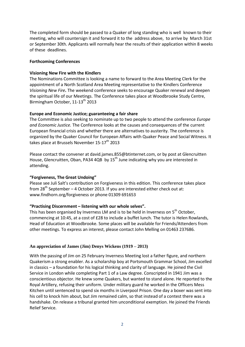The completed form should be passed to a Quaker of long standing who is well known to their meeting, who will countersign it and forward it to the address above, to arrive by March 31st or September 30th. Applicants will normally hear the results of their application within 8 weeks of these deadlines.

#### **Forthcoming Conferences**

#### **Visioning New Fire with the Kindlers**

The Nominations Committee is looking a name to forward to the Area Meeting Clerk for the appointment of a North Scotland Area Meeting representative to the Kindlers Conference *Visioning New Fire.* The weekend conference seeks to encourage Quaker renewal and deepen the spiritual life of our Meetings. The Conference takes place at Woodbrooke Study Centre, Birmingham October, 11-13<sup>th</sup> 2013

#### **Europe and Economic Justice; guaranteeing a fair share**

The Committee is also seeking to nominate up to two people to attend the conference *Europe and Economic Justice.* The Conference looks at the causes and consequences of the current European financial crisis and whether there are alternatives to austerity. The conference is organized by the Quaker Council for European Affairs with Quaker Peace and Social Witness. It takes place at Brussels November 15-17<sup>th</sup> 2013

Please contact the convener at david.james.855@btinternet.com, or by post at Glencruitten House, Glencruitten, Oban, PA34 4QB by  $15<sup>th</sup>$  June indicating why you are interested in attending.

# **"Forgiveness, The Great Undoing"**

Please see Juli Salt's contribution on Forgiveness in this edition. This conference takes place from  $28^{th}$  September – 4 October 2013. If you are interested either check out at: www.findhorn.org/forgiveness or phone 01309 691653

#### **"Practising Discernment – listening with our whole selves".**

This has been organised by Inverness LM and is to be held in Inverness on 5<sup>th</sup> October, commencing at 10:45, at a cost of £28 to include a buffet lunch. The tutor is Helen Rowlands, Head of Education at Woodbrooke. Some places will be available for Friends/Attenders from other meetings. To express an interest, please contact John Melling on 01463 237686.

#### **An appreciation of James (Jim) Denys Wickens (1919 – 2013)**

With the passing of Jim on 25 February Inverness Meeting lost a father figure, and northern Quakerism a strong enabler. As a scholarship boy at Portsmouth Grammar School, Jim excelled in classics – a foundation for his logical thinking and clarity of language. He joined the Civil Service in London while completing Part 1 of a Law degree. Conscripted in 1941 Jim was a conscientious objector. He knew some Quakers, but wanted to stand alone. He reported to the Royal Artillery, refusing their uniform. Under military guard he worked in the Officers Mess Kitchen until sentenced to spend six months in Liverpool Prison. One day a boxer was sent into his cell to knock him about, but Jim remained calm, so that instead of a contest there was a handshake. On release a tribunal granted him unconditional exemption. He joined the Friends Relief Service.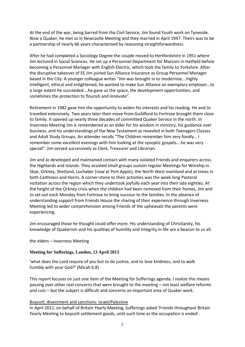At the end of the war, being barred from the Civil Service, Jim found Youth work on Tyneside. Now a Quaker, he met Jo in Newcastle Meeting and they married in April 1947. Theirs was to be a partnership of nearly 66 years characterised by reasoning straightforwardness.

After he had completed a Sociology Degree the couple moved to Hertfordshire in 1951 where Jim lectured in Social Sciences. He set up a Personnel Department for Marconi in Hatfield before becoming a Personnel Manager with English Electric, which took the family to Yorkshire. After the disruptive takeover of EE Jim joined Sun Alliance Insurance as Group Personnel Manager based in the City. A younger colleague writes "Jim was brought in to modernise….highly intelligent, ethical and enlightened, he wanted to make Sun Alliance an exemplary employer…to a large extent he succeeded….he gave us the space, the development opportunities, and sometimes the protection to flourish and innovate".

Retirement in 1982 gave him the opportunity to widen his interests and his reading. He and Jo travelled extensively. Two years later their move from Guildford to Fortrose brought them close to family. It opened up nearly three decades of committed Quaker Service in the north. In Inverness Meeting Jim is remembered as an elder for his wisdom in ministry, his guidance over business, and his understandings of the New Testament as revealed in both Teenagers Classes and Adult Study Groups. An attender recalls "The Children remember him very fondly… I remember some excellent evenings with him looking at the synoptic gospels….he was very special". Jim served successively as Clerk, Treasurer and Librarian.

Jim and Jo developed and maintained contact with many isolated Friends and enquirers across the Highlands and Islands. They assisted small groups sustain regular Meetings for Worship in Skye, Orkney, Shetland, Lochaber (now at Port Appin), the North West mainland and at times in both Caithness and Harris. A corner-stone to their activities was the week long Pastoral visitation across the region which they undertook joyfully each year into their late eighties. At the height of the Orkney crisis when the children had been removed from their homes, Jim and Jo set out each Monday from Fortrose to bring succour to the families. In the absence of understanding support from Friends House the sharing of their experience through Inverness Meeting led to wider comprehension among Friends of the upheavals the parents were experiencing.

Jim encouraged those he thought could offer more. His understanding of Christianity, his knowledge of Quakerism and his qualities of humility and integrity in life are a beacon to us all.

the elders – Inverness Meeting

#### **Meeting for Sufferings, London, 13 April 2013**

'what does the Lord require of you but to do justice, and to love kindness, and to walk humbly with your God?' (Micah 6.8)

This report focuses on just one item of the Meeting for Sufferings agenda. I realize this means passing over other real concerns that were brought to the meeting – not least welfare reforms and cuts – but the subject is difficult and concerns an important area of Quaker work.

#### Boycott, divestment and sanctions: Israel/Palestine

In April 2011, on behalf of Britain Yearly Meeting, Sufferings asked 'Friends throughout Britain Yearly Meeting to boycott settlement goods, until such time as the occupation is ended'.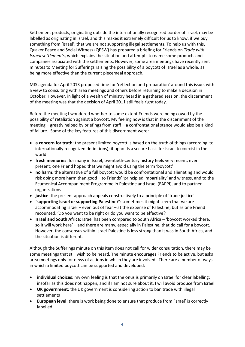Settlement products, originating outside the internationally recognized border of Israel, may be labelled as originating in Israel, and this makes it extremely difficult for us to know, if we buy something from 'Israel', that we are not supporting illegal settlements. To help us with this, Quaker Peace and Social Witness (QPSW) has prepared a briefing for Friends on *Trade with Israeli settlements*, which explains the situation and attempts to name some products and companies associated with the settlements. However, some area meetings have recently sent minutes to Meeting for Sufferings raising the possibility of a boycott of Israel as a whole, as being more effective than the current piecemeal approach.

MfS agenda for April 2013 proposed time for 'reflection and preparation' around this issue, with a view to consulting with area meetings and others before returning to make a decision in October. However, in light of a wealth of ministry heard in a gathered session, the discernment of the meeting was that the decision of April 2011 still feels right today.

Before the meeting I wondered whether to some extent Friends were being cowed by the possibility of retaliation against a boycott. My feeling now is that in the discernment of the meeting – greatly helped by briefings from staff – a confrontational stance would also be a kind of failure. Some of the key features of this discernment were:

- **a concern for truth**: the present limited boycott is based on the truth of things (according to internationally recognized definitions); it upholds a secure basis for Israel to coexist in the world
- **fresh memories**: for many in Israel, twentieth-century history feels very recent, even present; one Friend hoped that we might avoid using the term 'boycott'
- **no harm**: the alternative of a full boycott would be confrontational and alienating and would risk doing more harm than good – to Friends' 'principled impartiality' and witness, and to the Ecumenical Accompaniment Programme in Palestine and Israel (EAPPI), and to partner organizations
- **justice**: the present approach appeals constructively to a principle of 'trade justice'
- **'supporting Israel or supporting Palestine?'**: sometimes it might seem that we are accommodating Israel – even out of fear – at the expense of Palestine; but as one Friend recounted, 'Do you want to be right or do you want to be effective?'
- **Israel and South Africa**: Israel has been compared to South Africa 'boycott worked there, so it will work here' – and there are many, especially in Palestine, that do call for a boycott. However, the consensus within Israel-Palestine is less strong than it was in South Africa, and the situation is different.

Although the Sufferings minute on this item does not call for wider consultation, there may be some meetings that still wish to be heard. The minute encourages Friends to be active, but asks area meetings only for news of actions in which they are involved. There are a number of ways in which a limited boycott can be supported and developed:

- **individual choices**: my own feeling is that the onus is primarily on Israel for clear labelling; insofar as this does not happen, and if I am not sure about it, I will avoid produce from Israel
- **UK government**: the UK government is considering action to ban trade with illegal settlements
- **European level**: there is work being done to ensure that produce from 'Israel' is correctly labelled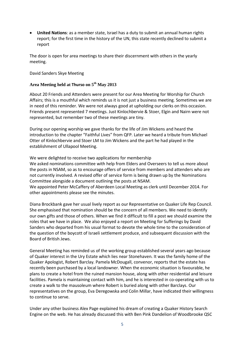**United Nations**: as a member state, Israel has a duty to submit an annual human rights report; for the first time in the history of the UN, this state recently declined to submit a report

The door is open for area meetings to share their discernment with others in the yearly meeting.

David Sanders Skye Meeting

# **Area Meeting held at Thurso on 5 th May 2013**

About 20 Friends and Attenders were present for our Area Meeting for Worship for Church Affairs; this is a mouthful which reminds us it is not just a business meeting. Sometimes we are in need of this reminder. We were not always good at upholding our clerks on this occasion. Friends present represented 7 meetings. Just Kinlochbervie & Stoer, Elgin and Nairn were not represented, but remember two of these meetings are tiny.

During our opening worship we gave thanks for the life of Jim Wickens and heard the introduction to the chapter "Faithful Lives" from QFP. Later we heard a tribute from Michael Otter of Kinlochbervie and Stoer LM to Jim Wickens and the part he had played in the establishment of Ullapool Meeting.

We were delighted to receive two applications for membership We asked nominations committee with help from Elders and Overseers to tell us more about the posts in NSAM, so as to encourage offers of service from members and attenders who are not currently involved. A revised offer of service form is being drawn up by the Nominations Committee alongside a document outlining the posts at NSAM.

We appointed Peter McCaffery of Aberdeen Local Meeting as clerk until December 2014. For other appointments please see the minutes.

Diana Brockbank gave her usual lively report as our Representative on Quaker Life Rep Council. She emphasised that nomination should be the concern of all members. We need to identify our own gifts and those of others. When we find it difficult to fill a post we should examine the roles that we have in place. We also enjoyed a report on Meeting for Sufferings by David Sanders who departed from his usual format to devote the whole time to the consideration of the question of the boycott of Israeli settlement produce, and subsequent discussion with the Board of British Jews.

General Meeting has reminded us of the working group established several years ago because of Quaker interest in the Ury Estate which lies near Stonehaven. It was the family home of the Quaker Apologist, Robert Barclay. Pamela McDougall, convenor, reports that the estate has recently been purchased by a local landowner. When the economic situation is favourable, he plans to create a hotel from the ruined mansion house, along with other residential and leisure facilities. Pamela is maintaining contact with him, and he is interested in co-operating with us to create a walk to the mausoleum where Robert is buried along with other Barclays. Our representatives on the group, Eva Deregowska and Colin Millar, have indicated their willingness to continue to serve.

Under any other business Alex Page explained his dream of creating a Quaker History Search Engine on the web. He has already discussed this with Ben Pink Dandelion of Woodbrooke QSC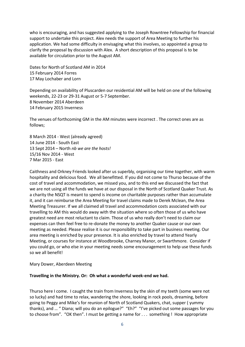who is encouraging, and has suggested applying to the Joseph Rowntree Fellowship for financial support to undertake this project. Alex needs the support of Area Meeting to further his application. We had some difficulty in envisaging what this involves, so appointed a group to clarify the proposal by discussion with Alex. A short description of this proposal is to be available for circulation prior to the August AM.

Dates for North of Scotland AM in 2014 15 February 2014 Forres 17 May Lochaber and Lorn

Depending on availability of Pluscarden our residential AM will be held on one of the following weekends, 22-23 or 29-31 August or 5-7 September. 8 November 2014 Aberdeen 14 February 2015 Inverness

The venues of forthcoming GM in the AM minutes were incorrect . The correct ones are as follows;

8 March 2014 - West (already agreed) 14 June 2014 - South East 13 Sept 2014 – North *nb we are the hosts!* 15/16 Nov 2014 - West 7 Mar 2015 - East

Caithness and Orkney Friends looked after us superbly, organising our time together, with warm hospitality and delicious food. We all benefitted. If you did not come to Thurso because of the cost of travel and accommodation, we missed you, and to this end we discussed the fact that we are not using all the funds we have at our disposal in the North of Scotland Quaker Trust. As a charity the NSQT is meant to spend is income on charitable purposes rather than accumulate it, and it can reimburse the Area Meeting for travel claims made to Derek Mclean, the Area Meeting Treasurer. If we all claimed all travel and accommodation costs associated with our travelling to AM this would do away with the situation where so often those of us who have greatest need are most reluctant to claim. Those of us who really don't need to claim our expenses can then feel free to re-donate the money to another Quaker cause or our own meeting as needed. Please realise it is our responsibility to take part in business meeting. Our area meeting is enriched by your presence. It is also enriched by travel to attend Yearly Meeting, or courses for instance at Woodbrooke, Charney Manor, or Swarthmore. Consider if you could go, or who else in your meeting needs some encouragement to help use these funds so we all benefit!

Mary Dower, Aberdeen Meeting

# **Travelling in the Ministry. Or: Oh what a wonderful week-end we had.**

Thurso here I come. I caught the train from Inverness by the skin of my teeth (some were not so lucky) and had time to relax, wandering the shore, looking in rock pools, dreaming, before going to Peggy and Mike's for reunion of North of Scotland Quakers, chat, supper ( yummy thanks), and … " Diana; will you do an epilogue?" "Eh?" "I've picked out some passages for you to choose from". "OK then". I must be getting a name for . . . something ! How appropriate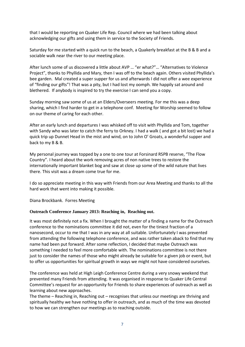that I would be reporting on Quaker Life Rep. Council where we had been talking about acknowledging our gifts and using them in service to the Society of Friends.

Saturday for me started with a quick run to the beach, a Quakerly breakfast at the B & B and a sociable walk near the river to our meeting place.

After lunch some of us discovered a little about AVP … "er what?"… "Alternatives to Violence Project", thanks to Phyllida and Mary, then I was off to the beach again. Others visited Phyllida's bee garden. Mal created a super supper for us and afterwards I did not offer a wee experience of "finding our gifts"! That was a pity, but I had lost my oomph. We happily sat around and blethered. If anybody is inspired to try the exercise I can send you a copy.

Sunday morning saw some of us at an Elders/Overseers meeting. For me this was a deep sharing, which I find harder to get in a telephone conf. Meeting for Worship seemed to follow on our theme of caring for each other.

After an early lunch and departures I was whisked off to visit with Phyllida and Tom, together with Sandy who was later to catch the ferry to Orkney. I had a walk ( and got a bit lost) we had a quick trip up Dunnet Head in the mist and wind, on to John O' Groats, a wonderful supper and back to my B & B.

My personal journey was topped by a one to one tour at Forsinard RSPB reserve, "The Flow Country". I heard about the work removing acres of non native trees to restore the internationally important blanket bog and saw at close up some of the wild nature that lives there. This visit was a dream come true for me.

I do so appreciate meeting in this way with Friends from our Area Meeting and thanks to all the hard work that went into making it possible.

Diana Brockbank. Forres Meeting

# **Outreach Conference January 2013: Reaching in, Reaching out.**

It was most definitely not a fix. When I brought the matter of a finding a name for the Outreach conference to the nominations committee it did not, even for the tiniest fraction of a nanosecond, occur to me that I was in any way at all suitable. Unfortunately I was prevented from attending the following telephone conference, and was rather taken aback to find that my name had been put forward. After some reflection, I decided that maybe Outreach was something I needed to feel more comfortable with. The nominations committee is not there just to consider the names of those who might already be suitable for a given job or event, but to offer us opportunities for spiritual growth in ways we might not have considered ourselves.

The conference was held at High Leigh Conference Centre during a very snowy weekend that prevented many Friends from attending. It was organised in response to Quaker Life Central Committee's request for an opportunity for Friends to share experiences of outreach as well as learning about new approaches.

The theme – Reaching in, Reaching out – recognises that unless our meetings are thriving and spiritually healthy we have nothing to offer in outreach, and as much of the time was devoted to how we can strengthen our meetings as to reaching outside.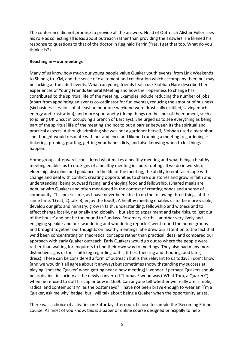The conference did not promise to provide all the answers. Head of Outreach Alistair Fuller sees his role as collecting all ideas about outreach rather than providing the answers. He likened his response to questions to that of the doctor in Reginald Perrin ('Yes, I get that too. What do you think it is?)

#### **Reaching in – our meetings**

Many of us know how much our young people value Quaker youth events, from Link Weekends to Shindig to JYM, and the sense of excitement and celebration which accompany them but may be lacking at the adult events. What can young friends teach us? Siobhan Hare described her experiences of Young Friends General Meeting and how their openness to change has contributed to the spiritual life of the meeting. Examples include reducing the number of jobs (apart from appointing an events co-ordinator for fun events), reducing the amount of business (six business sessions of at least an hour one weekend were drastically distilled, saving much energy and frustration), and more spontaneity (doing things on the spur of the moment, such as to joining UK Uncut in occupying a branch of Barclays). She urged us to see everything as being part of the spiritual life of the meeting and not to put a barrier between its the spiritual and practical aspects. Although admitting she was not a gardener herself, Siobhan used a metaphor she thought would resonate with her audience and likened running a meeting to gardening  $$ tinkering, pruning, grafting, getting your hands dirty, and also knowing when to let things happen.

Home groups afterwards considered what makes a healthy meeting and what being a healthy meeting enables us to do. Signs of a healthy meeting include: rooting all we do in worship; eldership, discipline and guidance in the life of the meeting; the ability to embrace/cope with change and deal with conflict, creating opportunities to share our stories and grow in faith and understanding; being outward facing, and enjoying food and fellowship. (Shared meals are popular with Quakers and often mentioned in the context of creating bonds and a sense of community. This puzzles me, as I have never been able to do the following three things at the same time: 1) eat, 2) talk, 3) enjoy the food!). A healthy meeting enables us to: be more visible; develop our gifts and ministry; grow in faith, understanding, fellowship and witness and to effect change locally, nationally and globally – but also to experiment and take risks, to 'get out of the house' and not be too bound to Sundays. Rosemary Harthill, another very lively and engaging speaker and our 'wandering and wondering reporter' went round the home groups and brought together our thoughts on healthy meetings. She drew our attention to the fact that we'd been concentrating on theoretical concepts rather than practical ideas, and compared our approach with early Quaker outreach. Early Quakers would go out to where the people were rather than waiting for enquirers to find their own way to meetings. They also had many more distinctive signs of their faith (eg regarding oaths, tithes, thee-ing and thou-ing, and later, dress). These can be considered a form of outreach but is this relevant to us today? I don't know (and we wouldn't all agree about it anyway) but sometimes (notwithstanding my success at playing 'spot the Quaker' when getting near a new meeting) I wonder if perhaps Quakers should be as distinct in society as the newly converted Thomas Elwood was ('What Tom, a Quaker?') when he refused to doff his cap or bow in 1659. Can anyone tell whether we really are 'simple, radical and contemporary', as the poster says? I have not been brave enough to wear an 'I'm a Quaker, ask me why' badge, but I will talk about being a Quaker when the opportunity arises.

There was a choice of activities on Saturday afternoon. I chose to sample the 'Becoming Friends' course. As most of you know, this is a paper or online course designed principally to help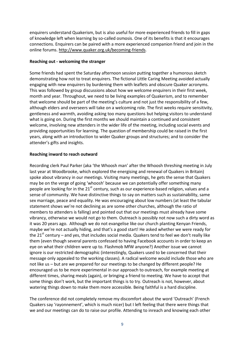enquirers understand Quakerism, but is also useful for more experienced friends to fill in gaps of knowledge left when learning by so-called osmosis. One of its benefits is that it encourages connections. Enquirers can be paired with a more experienced companion friend and join in the online forums[. http://www.quaker.org.uk/becoming-friends.](http://www.quaker.org.uk/becoming-friends)

### **Reaching out - welcoming the stranger**

Some friends had spent the Saturday afternoon session putting together a humorous sketch demonstrating how not to treat enquirers. The fictional Little Caring Meeting avoided actually engaging with new enquirers by burdening them with leaflets and obscure Quaker acronyms. This was followed by group discussions about how we welcome enquirers in their first week, month and year. Throughout, we need to be living examples of Quakerism, and to remember that welcome should be part of the meeting's culture and not just the responsibility of a few, although elders and overseers will take on a welcoming role. The first weeks require sensitivity, gentleness and warmth, avoiding asking too many questions but helping visitors to understand what is going on. During the first months we should maintain a continued and consistent welcome, involving new attenders in the wider life of the meeting, including social events and providing opportunities for learning. The question of membership could be raised in the first years, along with an introduction to wider Quaker groups and structures; and to consider the attender's gifts and insights.

# **Reaching inward to reach outward**

Recording clerk Paul Parker (aka 'the Whoosh man' after the Whoosh threshing meeting in July last year at Woodbrooke, which explored the energising and renewal of Quakers in Britain) spoke about vibrancy in our meetings. Visiting many meetings, he gets the sense that Quakers may be on the verge of going 'whoosh' because we can potentially offer something many people are looking for in the  $21<sup>st</sup>$  century, such as our experience-based religion, values and a sense of community. We have distinctive things to say on matters such as sustainability, same sex marriage, peace and equality. He was encouraging about low numbers (at least the tabular statement shows we're not declining as are some other churches, although the ratio of members to attenders is falling) and pointed out that our meetings must already have some vibrancy, otherwise we would not go to them. Outreach is possibly not now such a dirty word as it was 20 years ago. Although we do not evangelise like our church planting Kenyan Friends, maybe we're not actually hiding, and that's a good start! He asked whether we were ready for the  $21<sup>st</sup>$  century – and yes, that includes social media. Quakers tend to feel we don't really like them (even though several parents confessed to having Facebook accounts in order to keep an eye on what their children were up to. Flashmob MfW anyone?) Another issue we cannot ignore is our restricted demographic (interestingly, Quakers used to be concerned that their message only appealed to the working classes). A radical welcome would include those who are not like us – but are we prepared for our meetings to be changed by different people? He encouraged us to be more experimental in our approach to outreach, for example meeting at different times, sharing meals (again), or bringing a friend to meeting. We have to accept that some things don't work, but the important things is to try. Outreach is not, however, about watering things down to make them more accessible. Being faithful is a hard discipline.

The conference did not completely remove my discomfort about the word 'Outreach' (French Quakers say 'rayonnement', which is much nicer) but I left feeling that there were things that we and our meetings can do to raise our profile. Attending to inreach and knowing each other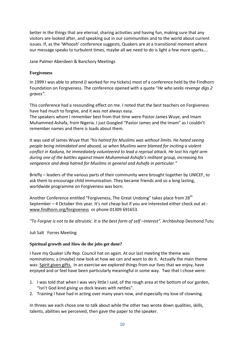better in the things that are eternal, sharing activities and having fun, making sure that any visitors are looked after, and speaking out in our communities and to the world about current issues. If, as the 'Whoosh' conference suggests, Quakers are at a transitional moment where our message speaks to turbulent times, maybe all we need to do is light a few more sparks….

Jane Palmer Aberdeen & Banchory Meetings

# **Forgiveness**

In 1999 I was able to attend (I worked for my tickets) most of a conference held by the Findhorn Foundation on Forgiveness. The conference opened with a quote "*He who seeks revenge digs 2 graves".*

This conference had a resounding effect on me. I noted that the best teachers on Forgiveness have had much to forgive, and it was not always easy.

The speakers whom I remember best from that time were Pastor James Wuye, and Imam Muhammed Ashafa, from Nigeria. I just Googled "Pastor James and the Imam" as I couldn't remember names and there is loads about them.

It was said of James Wuye that *"his hatred for Muslims was without limits. He hated seeing people being intimidated and abused, so when Muslims were blamed for inciting a violent conflict in Kaduna, he immediately volunteered to lead a reprisal attack. He lost his right arm during one of the battles against Imam Muhammad Ashafa's militant group, increasing his vengeance and deep hatred for Muslims in general and Ashafa in particular."*

Briefly – leaders of the various parts of their community were brought together by UNICEF, to ask them to encourage child immunisation. They became friends and so a long lasting, worldwide programme on Forgiveness was born.

Another Conference entitled "Forgiveness, The Great Undoing" takes place from 28<sup>th</sup> September – 4 October this year. It's not cheap but if you are interested either check out at: [www.findhorn.org/forgiveness](http://www.findhorn.org/forgiveness) or phone 01309 691653.

*"To Forgive is not to be altruistic. It is the best form of self –<i>interest"*. Archbishop Desmond Tutu

Juli Salt Forres Meeting

# **Spiritual growth and How do the jobs get done?**

I have my Quaker Life Rep. Council hat on again. At our last meeting the theme was nominations; a (maybe) new look at how we can and want to do it. Actually the main theme was: Spirit given gifts. In an exercise we explored things from our lives that we enjoy, have enjoyed and or feel have been particularly meaningful in some way. Two that I chose were:

- 1. I was told that when I was very little I said, of the rough area at the bottom of our garden, "Isn't God kind giving us dock leaves with nettles".
- 2. Training I have had in acting over many years now, and especially my love of clowning.

In threes we each chose one to talk about while the other two wrote down qualities, skills, talents, abilities we perceived, then gave the paper to the speaker.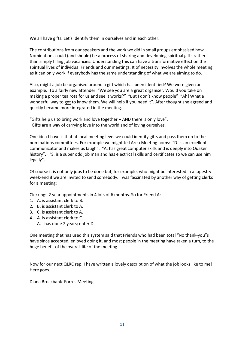We all have gifts. Let's identify them in ourselves and in each other.

The contributions from our speakers and the work we did in small groups emphasised how Nominations could (and should) be a process of sharing and developing spiritual gifts rather than simply filling job vacancies. Understanding this can have a transformative effect on the spiritual lives of individual Friends and our meetings. It of necessity involves the whole meeting as it can only work if everybody has the same understanding of what we are aiming to do.

Also, might a job be organised around a gift which has been identified? We were given an example. To a fairly new attender: "We see you are a great organiser. Would you take on making a proper tea rota for us and see it works?" "But I don't know people" "Ah! What a wonderful way to get to know them. We will help if you need it". After thought she agreed and quickly became more integrated in the meeting.

"Gifts help us to bring work and love together – AND there is only love". Gifts are a way of carrying love into the world and of loving ourselves.

One idea I have is that at local meeting level we could identify gifts and pass them on to the nominations committees. For example we might tell Area Meeting noms: "D. is an excellent communicator and makes us laugh". "A. has great computer skills and is deeply into Quaker history". "S. is a super odd job man and has electrical skills and certificates so we can use him legally".

Of course it is not only jobs to be done but, for example, who might be interested in a tapestry week-end if we are invited to send somebody. I was fascinated by another way of getting clerks for a meeting:

Clerking: 2 year appointments in 4 lots of 6 months. So for Friend A:

- 1. A. is assistant clerk to B.
- 2. B. is assistant clerk to A.
- 3. C. is assistant clerk to A.
- 4. A. is assistant clerk to C.
	- A. has done 2 years; enter D.

One meeting that has used this system said that Friends who had been total "No thank-you"s have since accepted, enjoyed doing it, and most people in the meeting have taken a turn, to the huge benefit of the overall life of the meeting.

Now for our next QLRC rep. I have written a lovely description of what the job looks like to me! Here goes.

Diana Brockbank Forres Meeting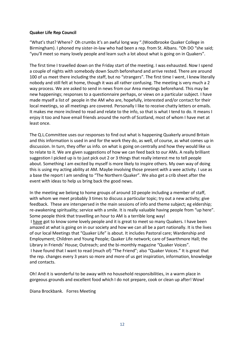### **Quaker Life Rep Council**

"What's that? Where? Oh crumbs it's an awful long way ".(Woodbrooke Quaker College in Birmingham). I phoned my sister-in-law who had been a rep. from St. Albans. "Oh DO "she said; "you'll meet so many lovely people and learn such a lot about what is going on in Quakers".

The first time I travelled down on the Friday start of the meeting. I was exhausted. Now I spend a couple of nights with somebody down South beforehand and arrive rested. There are around 100 of us meet there including the staff, but no "strangers". The first time I went, I knew literally nobody and still felt at home, though it was all rather confusing. The meeting is very much a 2 way process. We are asked to send in news from our Area meetings beforehand. This may be new happenings; responses to a questionnaire perhaps, or views on a particular subject. I have made myself a list of people in the AM who are, hopefully, interested and/or contact for their local meetings, so all meetings are covered. Personally I like to receive chatty letters or emails. It makes me more inclined to read and relate to the info, so that is what I tend to do. It means I enjoy it too and have email friends around the north of Scotland, most of whom I have met at least once.

The Q.L.Committee uses our responses to find out what is happening Quakerly around Britain and this information is used in and for the work they do, as well, of course, as what comes up in discussion. In turn, they offer us info. on what is going on centrally and how they would like us to relate to it. We are given suggestions of how we can feed back to our AMs. A really brilliant suggestion I picked up is to just pick out 2 or 3 things that really interest me to tell people about. Something I am excited by myself is more likely to inspire others. My own way of doing this is using my acting ability at AM. Maybe involving those present with a wee activity. I use as a base the report I am sending to "The Northern Quaker". We also get a crib sheet after the event with ideas to help us bring back the good news.

In the meeting we belong to home groups of around 10 people including a member of staff, with whom we meet probably 3 times to discuss a particular topic; try out a new activity; give feedback. These are interspersed in the main sessions of info and theme subject; eg eldership; re-awakening spirituality; service with a smile. It is really valuable having people from "up here". Some people think that travelling an hour to AM is a terrible long way!

I have got to know some lovely people and it is great to meet so many Quakers. I have been amazed at what is going on in our society and how we can all be a part nationally. It is the lives of our local Meetings that "Quaker Life" is about. It includes Pastoral care; Wardenship and Employment; Children and Young People; Quaker Life network; care of Swarthmore Hall; the Library in Friends' House; Outreach; and the bi-monthly magazine "Quaker Voices". I have found that I want to read (much of) "The Friend"; also "Quaker Voices." It is great that the rep. changes every 3 years so more and more of us get inspiration, information, knowledge and contacts.

Oh! And it is wonderful to be away with no household responsibilities, in a warm place in gorgeous grounds and excellent food which I do not prepare, cook or clean up after! Wow!

Diana Brockbank. Forres Meeting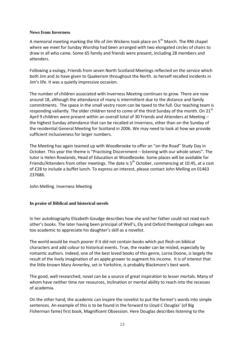#### **News from Inverness**

A memorial meeting marking the life of Jim Wickens took place on 5<sup>th</sup> March. The RNI chapel where we meet for Sunday Worship had been arranged with two elongated circles of chairs to draw in all who came. Some 65 family and friends were present, including 28 members and attenders.

Following a eulogy, Friends from seven North Scotland Meetings reflected on the service which both Jim and Jo have given to Quakerism throughout the North. Jo herself recalled incidents in Jim's life. It was a quietly impressive occasion.

The number of children associated with Inverness Meeting continues to grow. There are now around 18, although the attendance of many is intermittent due to the distance and family commitments. The space in the small vestry room can be taxed to the full. Our teaching team is responding valiantly. The older children tend to come of the third Sunday of the month. On 21<sup>st</sup> April 9 children were present within an overall total of 30 Friends and Attenders at Meeting – the highest Sunday attendance that can be recalled at Inverness, other than on the Sunday of the residential General Meeting for Scotland in 2006. We may need to look at how we provide sufficient inclusiveness for larger numbers.

The Meeting has again teamed up with Woodbrooke to offer an "on the Road" Study Day in October. This year the theme is "Practising Discernment – listening with our whole selves". The tutor is Helen Rowlands, Head of Education at Woodbrooke. Some places will be available for Friends/Attenders from other meetings. The date is  $5<sup>th</sup>$  October, commencing at 10:45, at a cost of £28 to include a buffet lunch. To express an interest, please contact John Melling on 01463 237686.

John Melling. Inverness Meeting

# **In praise of Biblical and historical novels**

In her autobiography Elizabeth Goudge describes how she and her father could not read each other's books. The later having been principal of Well's, Ely and Oxford theological colleges was too academic to appreciate his daughter's skill as a novelist.

The world would be much poorer if it did not contain books which put flesh on biblical characters and add colour to historical events. True, the reader can be misled, especially by romantic authors. Indeed, one of the best loved books of this genre, Lorna Doone, is largely the result of the lively imagination of an apple grower to augment his income. It is of interest that the little known Mary Annerley, set in Yorkshire, is probably Blackmore's best work.

The good, well researched, novel can be a source of great inspiration to lesser mortals. Many of whom have neither time nor resources, inclination or mental ability to reach into the recesses of academia.

On the other hand, the academic can inspire the novelist to put the former's words into simple sentences. An example of this is to be found in the forward to Lloyd C Douglas' (of Big Fisherman fame) first book, Magnificent Obsession. Here Douglas describes listening to the